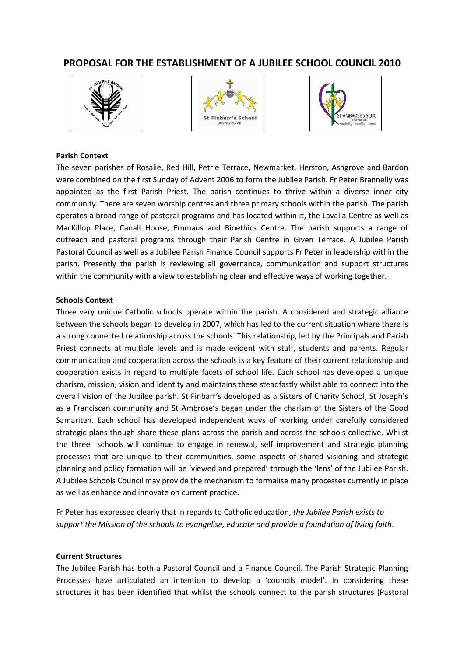# PROPOSAL FOR THE ESTABLISHMENT OF A JUBILEE SCHOOL COUNCIL 2010







### Parish Context

The seven parishes of Rosalie, Red Hill, Petrie Terrace, Newmarket, Herston, Ashgrove and Bardon were combined on the first Sunday of Advent 2006 to form the Jubilee Parish. Fr Peter Brannelly was appointed as the first Parish Priest. The parish continues to thrive within a diverse inner city community. There are seven worship centres and three primary schools within the parish. The parish operates a broad range of pastoral programs and has located within it, the Lavalla Centre as well as MacKillop Place, Canali House, Emmaus and Bioethics Centre. The parish supports a range of outreach and pastoral programs through their Parish Centre in Given Terrace. A Jubilee Parish Pastoral Council as well as a Jubilee Parish Finance Council supports Fr Peter in leadership within the parish. Presently the parish is reviewing all governance, communication and support structures within the community with a view to establishing clear and effective ways of working together.

#### Schools Context

Three very unique Catholic schools operate within the parish. A considered and strategic alliance between the schools began to develop in 2007, which has led to the current situation where there is a strong connected relationship across the schools. This relationship, led by the Principals and Parish Priest connects at multiple levels and is made evident with staff, students and parents. Regular communication and cooperation across the schools is a key feature of their current relationship and cooperation exists in regard to multiple facets of school life. Each school has developed a unique charism, mission, vision and identity and maintains these steadfastly whilst able to connect into the overall vision of the Jubilee parish. St Finbarr's developed as a Sisters of Charity School, St Joseph's as a Franciscan community and St Ambrose's began under the charism of the Sisters of the Good Samaritan. Each school has developed independent ways of working under carefully considered strategic plans though share these plans across the parish and across the schools collective. Whilst the three schools will continue to engage in renewal, self improvement and strategic planning processes that are unique to their communities, some aspects of shared visioning and strategic planning and policy formation will be 'viewed and prepared' through the 'lens' of the Jubilee Parish. A Jubilee Schools Council may provide the mechanism to formalise many processes currently in place as well as enhance and innovate on current practice.

Fr Peter has expressed clearly that in regards to Catholic education, the Jubilee Parish exists to support the Mission of the schools to evangelise, educate and provide a foundation of living faith.

#### Current Structures

The Jubilee Parish has both a Pastoral Council and a Finance Council. The Parish Strategic Planning Processes have articulated an intention to develop a 'councils model'. In considering these structures it has been identified that whilst the schools connect to the parish structures (Pastoral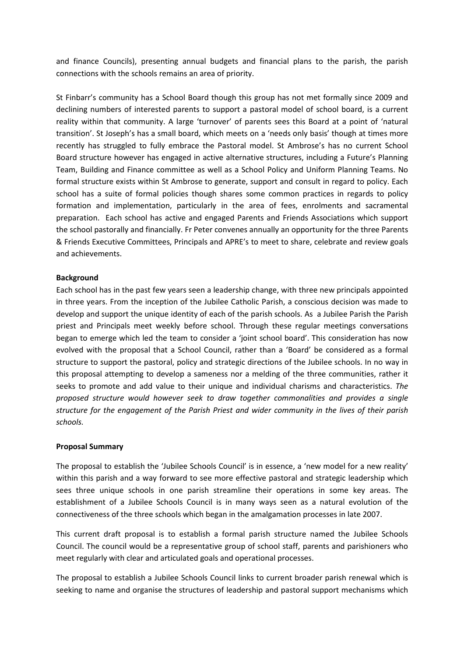and finance Councils), presenting annual budgets and financial plans to the parish, the parish connections with the schools remains an area of priority.

St Finbarr's community has a School Board though this group has not met formally since 2009 and declining numbers of interested parents to support a pastoral model of school board, is a current reality within that community. A large 'turnover' of parents sees this Board at a point of 'natural transition'. St Joseph's has a small board, which meets on a 'needs only basis' though at times more recently has struggled to fully embrace the Pastoral model. St Ambrose's has no current School Board structure however has engaged in active alternative structures, including a Future's Planning Team, Building and Finance committee as well as a School Policy and Uniform Planning Teams. No formal structure exists within St Ambrose to generate, support and consult in regard to policy. Each school has a suite of formal policies though shares some common practices in regards to policy formation and implementation, particularly in the area of fees, enrolments and sacramental preparation. Each school has active and engaged Parents and Friends Associations which support the school pastorally and financially. Fr Peter convenes annually an opportunity for the three Parents & Friends Executive Committees, Principals and APRE's to meet to share, celebrate and review goals and achievements.

#### **Background**

Each school has in the past few years seen a leadership change, with three new principals appointed in three years. From the inception of the Jubilee Catholic Parish, a conscious decision was made to develop and support the unique identity of each of the parish schools. As a Jubilee Parish the Parish priest and Principals meet weekly before school. Through these regular meetings conversations began to emerge which led the team to consider a 'joint school board'. This consideration has now evolved with the proposal that a School Council, rather than a 'Board' be considered as a formal structure to support the pastoral, policy and strategic directions of the Jubilee schools. In no way in this proposal attempting to develop a sameness nor a melding of the three communities, rather it seeks to promote and add value to their unique and individual charisms and characteristics. The proposed structure would however seek to draw together commonalities and provides a single structure for the engagement of the Parish Priest and wider community in the lives of their parish schools.

#### Proposal Summary

The proposal to establish the 'Jubilee Schools Council' is in essence, a 'new model for a new reality' within this parish and a way forward to see more effective pastoral and strategic leadership which sees three unique schools in one parish streamline their operations in some key areas. The establishment of a Jubilee Schools Council is in many ways seen as a natural evolution of the connectiveness of the three schools which began in the amalgamation processes in late 2007.

This current draft proposal is to establish a formal parish structure named the Jubilee Schools Council. The council would be a representative group of school staff, parents and parishioners who meet regularly with clear and articulated goals and operational processes.

The proposal to establish a Jubilee Schools Council links to current broader parish renewal which is seeking to name and organise the structures of leadership and pastoral support mechanisms which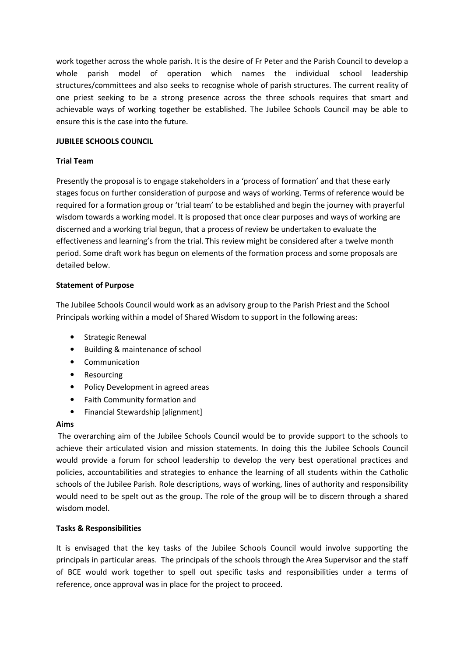work together across the whole parish. It is the desire of Fr Peter and the Parish Council to develop a whole parish model of operation which names the individual school leadership structures/committees and also seeks to recognise whole of parish structures. The current reality of one priest seeking to be a strong presence across the three schools requires that smart and achievable ways of working together be established. The Jubilee Schools Council may be able to ensure this is the case into the future.

### JUBILEE SCHOOLS COUNCIL

### Trial Team

Presently the proposal is to engage stakeholders in a 'process of formation' and that these early stages focus on further consideration of purpose and ways of working. Terms of reference would be required for a formation group or 'trial team' to be established and begin the journey with prayerful wisdom towards a working model. It is proposed that once clear purposes and ways of working are discerned and a working trial begun, that a process of review be undertaken to evaluate the effectiveness and learning's from the trial. This review might be considered after a twelve month period. Some draft work has begun on elements of the formation process and some proposals are detailed below.

### Statement of Purpose

The Jubilee Schools Council would work as an advisory group to the Parish Priest and the School Principals working within a model of Shared Wisdom to support in the following areas:

- Strategic Renewal
- Building & maintenance of school
- Communication
- Resourcing
- Policy Development in agreed areas
- Faith Community formation and
- Financial Stewardship [alignment]

#### Aims

 The overarching aim of the Jubilee Schools Council would be to provide support to the schools to achieve their articulated vision and mission statements. In doing this the Jubilee Schools Council would provide a forum for school leadership to develop the very best operational practices and policies, accountabilities and strategies to enhance the learning of all students within the Catholic schools of the Jubilee Parish. Role descriptions, ways of working, lines of authority and responsibility would need to be spelt out as the group. The role of the group will be to discern through a shared wisdom model.

### Tasks & Responsibilities

It is envisaged that the key tasks of the Jubilee Schools Council would involve supporting the principals in particular areas. The principals of the schools through the Area Supervisor and the staff of BCE would work together to spell out specific tasks and responsibilities under a terms of reference, once approval was in place for the project to proceed.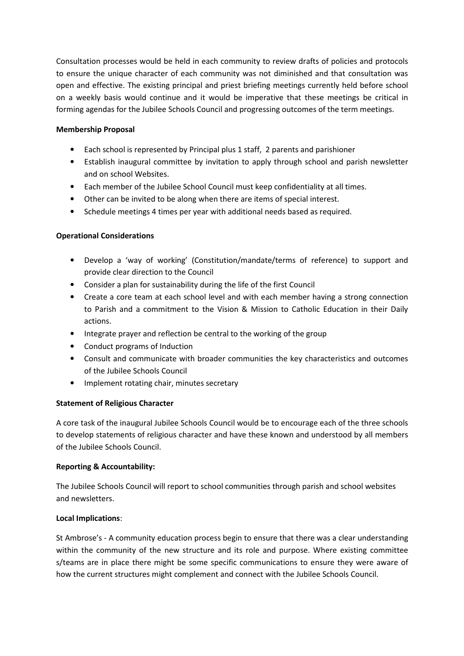Consultation processes would be held in each community to review drafts of policies and protocols to ensure the unique character of each community was not diminished and that consultation was open and effective. The existing principal and priest briefing meetings currently held before school on a weekly basis would continue and it would be imperative that these meetings be critical in forming agendas for the Jubilee Schools Council and progressing outcomes of the term meetings.

### Membership Proposal

- Each school is represented by Principal plus 1 staff, 2 parents and parishioner
- Establish inaugural committee by invitation to apply through school and parish newsletter and on school Websites.
- Each member of the Jubilee School Council must keep confidentiality at all times.
- Other can be invited to be along when there are items of special interest.
- Schedule meetings 4 times per year with additional needs based as required.

### Operational Considerations

- Develop a 'way of working' (Constitution/mandate/terms of reference) to support and provide clear direction to the Council
- Consider a plan for sustainability during the life of the first Council
- Create a core team at each school level and with each member having a strong connection to Parish and a commitment to the Vision & Mission to Catholic Education in their Daily actions.
- Integrate prayer and reflection be central to the working of the group
- Conduct programs of Induction
- Consult and communicate with broader communities the key characteristics and outcomes of the Jubilee Schools Council
- Implement rotating chair, minutes secretary

## Statement of Religious Character

A core task of the inaugural Jubilee Schools Council would be to encourage each of the three schools to develop statements of religious character and have these known and understood by all members of the Jubilee Schools Council.

### Reporting & Accountability:

The Jubilee Schools Council will report to school communities through parish and school websites and newsletters.

## Local Implications:

St Ambrose's - A community education process begin to ensure that there was a clear understanding within the community of the new structure and its role and purpose. Where existing committee s/teams are in place there might be some specific communications to ensure they were aware of how the current structures might complement and connect with the Jubilee Schools Council.